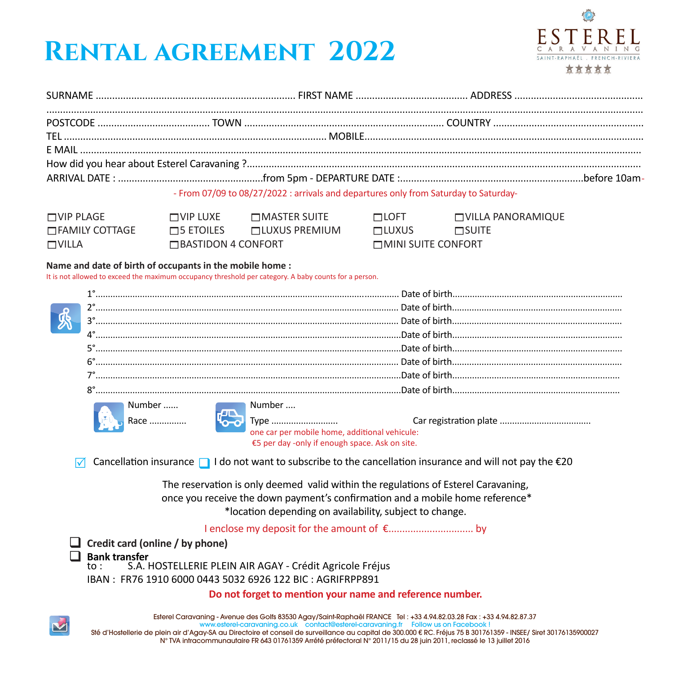## **Rental agreement 2022**



| - From 07/09 to 08/27/2022 : arrivals and departures only from Saturday to Saturday- |  |  |
|--------------------------------------------------------------------------------------|--|--|

| $\Box$ VIP PLAGE | $\Box$ VIP LUXE           | $\square$ MASTER SUITE | <b>HLOFT</b>               | <b>TVILLA PANORAMIQUE</b> |
|------------------|---------------------------|------------------------|----------------------------|---------------------------|
| □ FAMILY COTTAGE | <b>ELES</b>               | <b>TILUXUS PREMIUM</b> | <b>HLUXUS</b>              | <b>HITE</b>               |
| <b>TVILLA</b>    | $\Box$ BASTIDON 4 CONFORT |                        | <b>HAINI SUITE CONFORT</b> |                           |

## **Name and date of birth of occupants in the mobile home :**

It is not allowed to exceed the maximum occupancy threshold per category. A baby counts for a person.

|                                                                                                                           | Number | Number<br>one car per mobile home, additional vehicule:                                                                                                             |  |  |  |
|---------------------------------------------------------------------------------------------------------------------------|--------|---------------------------------------------------------------------------------------------------------------------------------------------------------------------|--|--|--|
|                                                                                                                           |        | €5 per day -only if enough space. Ask on site.                                                                                                                      |  |  |  |
| Cancellation insurance $\Box$ I do not want to subscribe to the cancellation insurance and will not pay the $\epsilon$ 20 |        |                                                                                                                                                                     |  |  |  |
|                                                                                                                           |        | The reservation is only deemed valid within the regulations of Esterel Caravaning,<br>once you receive the down payment's confirmation and a mobile home reference* |  |  |  |
| *location depending on availability, subject to change.                                                                   |        |                                                                                                                                                                     |  |  |  |

I enclose my deposit for the amount of €............................... by

**Credit card (online / by phone)** 

**Bank transfer**<br>to: SA

**toure.**<br>S.A. HOSTELLERIE PLEIN AIR AGAY - Crédit Agricole Fréjus

IBAN : FR76 1910 6000 0443 5032 6926 122 BIC : AGRIFRPP891

**Do not forget to mention your name and reference number.**

Esterel Caravaning - Avenue des Golfs 83530 Agay/Saint-Raphaël FRANCE Tel : +33 4.94.82.03.28 Fax : +33 4.94.82.87.37

www.esterel-caravaning.co.uk contact@esterel-caravaning.fr Follow us on Facebook ! Sté d'Hostellerie de plein air d'Agay-SA au Directoire et conseil de surveillance au capital de 300.000 € RC. Fréjus 75 B 301761359 - INSEE/ Siret 30176135900027 N° TVA intracommunautaire FR 643 01761359 Arrété préfectoral N° 2011/15 du 28 juin 2011, reclassé le 13 juillet 2016

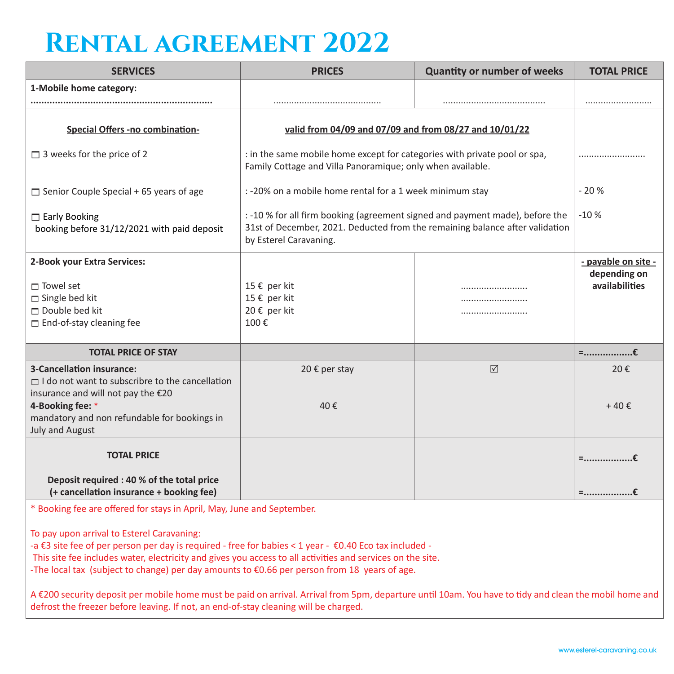## **Rental agreement 2022**

| <b>SERVICES</b>                                                                                                                        | <b>PRICES</b>                                                                                                                                                                          | <b>Quantity or number of weeks</b> | <b>TOTAL PRICE</b>                                    |
|----------------------------------------------------------------------------------------------------------------------------------------|----------------------------------------------------------------------------------------------------------------------------------------------------------------------------------------|------------------------------------|-------------------------------------------------------|
| 1-Mobile home category:                                                                                                                |                                                                                                                                                                                        |                                    |                                                       |
| Special Offers -no combination-                                                                                                        | valid from 04/09 and 07/09 and from 08/27 and 10/01/22                                                                                                                                 |                                    |                                                       |
| $\Box$ 3 weeks for the price of 2                                                                                                      | : in the same mobile home except for categories with private pool or spa,<br>Family Cottage and Villa Panoramique; only when available.                                                |                                    |                                                       |
| $\Box$ Senior Couple Special + 65 years of age                                                                                         | : -20% on a mobile home rental for a 1 week minimum stay                                                                                                                               |                                    | $-20%$                                                |
| $\Box$ Early Booking<br>booking before 31/12/2021 with paid deposit                                                                    | : -10 % for all firm booking (agreement signed and payment made), before the<br>31st of December, 2021. Deducted from the remaining balance after validation<br>by Esterel Caravaning. | $-10%$                             |                                                       |
| 2-Book your Extra Services:<br>$\sqcap$ Towel set<br>$\Box$ Single bed kit<br>$\Box$ Double bed kit<br>$\Box$ End-of-stay cleaning fee | 15 € per kit<br>15 € per kit<br>20 € per kit<br>100€                                                                                                                                   |                                    | - payable on site -<br>depending on<br>availabilities |
| <b>TOTAL PRICE OF STAY</b>                                                                                                             |                                                                                                                                                                                        |                                    | $=$ €                                                 |
| 3-Cancellation insurance:<br>$\Box$ I do not want to subscribre to the cancellation<br>insurance and will not pay the €20              | 20 € per stay                                                                                                                                                                          | $\triangledown$                    | 20€                                                   |
| 4-Booking fee: *<br>mandatory and non refundable for bookings in<br><b>July and August</b>                                             | 40€                                                                                                                                                                                    |                                    | $+40 \text{ }E$                                       |
| <b>TOTAL PRICE</b><br>Deposit required : 40 % of the total price                                                                       |                                                                                                                                                                                        |                                    | $=$ €                                                 |
| (+ cancellation insurance + booking fee)                                                                                               |                                                                                                                                                                                        |                                    | =€                                                    |

\* Booking fee are offered for stays in April, May, June and September.

To pay upon arrival to Esterel Caravaning:

-a €3 site fee of per person per day is required - free for babies < 1 year - €0.40 Eco tax included -

This site fee includes water, electricity and gives you access to all activities and services on the site.

-The local tax (subject to change) per day amounts to €0.66 per person from 18 years of age.

A €200 security deposit per mobile home must be paid on arrival. Arrival from 5pm, departure until 10am. You have to tidy and clean the mobil home and defrost the freezer before leaving. If not, an end-of-stay cleaning will be charged.